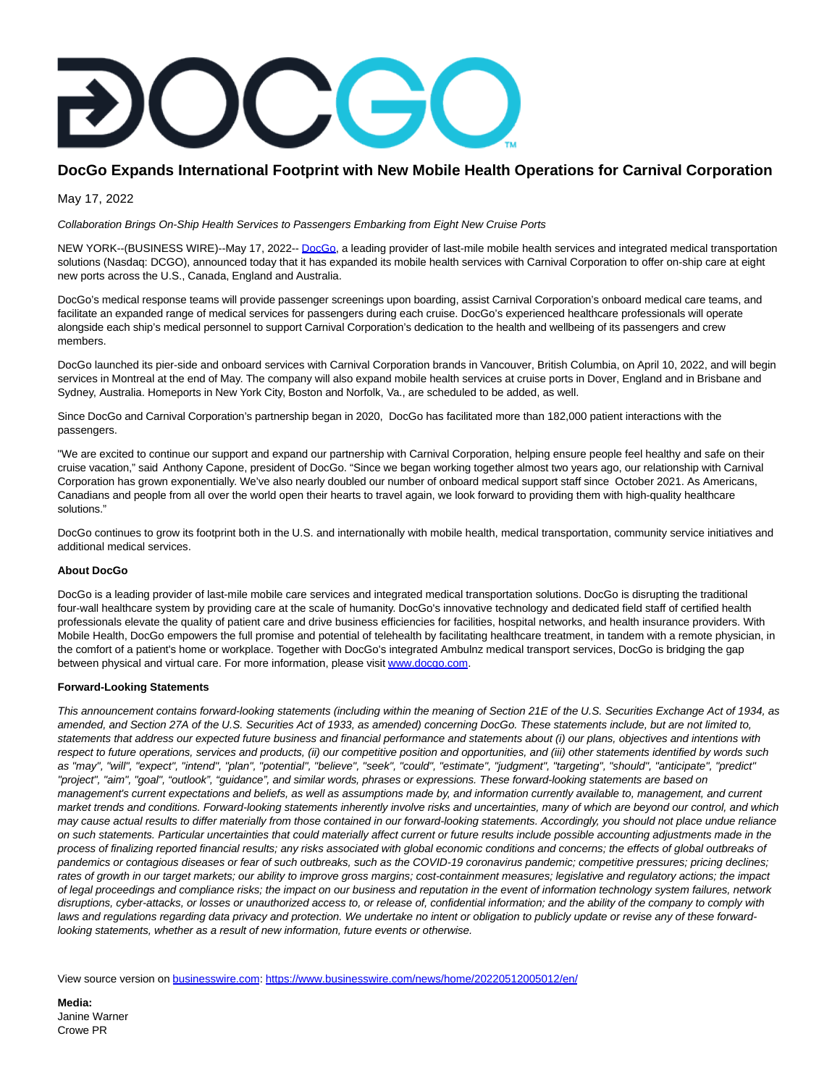# **DocGo Expands International Footprint with New Mobile Health Operations for Carnival Corporation**

May 17, 2022

Collaboration Brings On-Ship Health Services to Passengers Embarking from Eight New Cruise Ports

NEW YORK--(BUSINESS WIRE)--May 17, 2022-[- DocGo,](https://cts.businesswire.com/ct/CT?id=smartlink&url=https%3A%2F%2Fwww.docgo.com%2F&esheet=52710264&newsitemid=20220512005012&lan=en-US&anchor=DocGo&index=1&md5=bd5c5434d8657e2009d912ba0251f236) a leading provider of last-mile mobile health services and integrated medical transportation solutions (Nasdaq: DCGO), announced today that it has expanded its mobile health services with Carnival Corporation to offer on-ship care at eight new ports across the U.S., Canada, England and Australia.

DocGo's medical response teams will provide passenger screenings upon boarding, assist Carnival Corporation's onboard medical care teams, and facilitate an expanded range of medical services for passengers during each cruise. DocGo's experienced healthcare professionals will operate alongside each ship's medical personnel to support Carnival Corporation's dedication to the health and wellbeing of its passengers and crew members.

DocGo launched its pier-side and onboard services with Carnival Corporation brands in Vancouver, British Columbia, on April 10, 2022, and will begin services in Montreal at the end of May. The company will also expand mobile health services at cruise ports in Dover, England and in Brisbane and Sydney, Australia. Homeports in New York City, Boston and Norfolk, Va., are scheduled to be added, as well.

Since DocGo and Carnival Corporation's partnership began in 2020, DocGo has facilitated more than 182,000 patient interactions with the passengers.

"We are excited to continue our support and expand our partnership with Carnival Corporation, helping ensure people feel healthy and safe on their cruise vacation," said Anthony Capone, president of DocGo. "Since we began working together almost two years ago, our relationship with Carnival Corporation has grown exponentially. We've also nearly doubled our number of onboard medical support staff since October 2021. As Americans, Canadians and people from all over the world open their hearts to travel again, we look forward to providing them with high-quality healthcare solutions."

DocGo continues to grow its footprint both in the U.S. and internationally with mobile health, medical transportation, community service initiatives and additional medical services.

### **About DocGo**

DocGo is a leading provider of last-mile mobile care services and integrated medical transportation solutions. DocGo is disrupting the traditional four-wall healthcare system by providing care at the scale of humanity. DocGo's innovative technology and dedicated field staff of certified health professionals elevate the quality of patient care and drive business efficiencies for facilities, hospital networks, and health insurance providers. With Mobile Health, DocGo empowers the full promise and potential of telehealth by facilitating healthcare treatment, in tandem with a remote physician, in the comfort of a patient's home or workplace. Together with DocGo's integrated Ambulnz medical transport services, DocGo is bridging the gap between physical and virtual care. For more information, please visi[t www.docgo.com.](https://cts.businesswire.com/ct/CT?id=smartlink&url=https%3A%2F%2Fc212.net%2Fc%2Flink%2F%3Ft%3D0%26l%3Den%26o%3D3355628-1%26h%3D3630967235%26u%3Dhttp%253A%252F%252Fwww.docgo.com%252F%26a%3Dwww.docgo.com&esheet=52710264&newsitemid=20220512005012&lan=en-US&anchor=www.docgo.com&index=2&md5=5b5e1bbc1c13a82fb9e52001c718cba1)

### **Forward-Looking Statements**

This announcement contains forward-looking statements (including within the meaning of Section 21E of the U.S. Securities Exchange Act of 1934, as amended, and Section 27A of the U.S. Securities Act of 1933, as amended) concerning DocGo. These statements include, but are not limited to, statements that address our expected future business and financial performance and statements about (i) our plans, objectives and intentions with respect to future operations, services and products, (ii) our competitive position and opportunities, and (iii) other statements identified by words such as "may", "will", "expect", "intend", "plan", "potential", "believe", "seek", "could", "estimate", "judgment", "targeting", "should", "anticipate", "predict" "project", "aim", "goal", "outlook", "guidance", and similar words, phrases or expressions. These forward-looking statements are based on management's current expectations and beliefs, as well as assumptions made by, and information currently available to, management, and current market trends and conditions. Forward-looking statements inherently involve risks and uncertainties, many of which are beyond our control, and which may cause actual results to differ materially from those contained in our forward-looking statements. Accordingly, you should not place undue reliance on such statements. Particular uncertainties that could materially affect current or future results include possible accounting adjustments made in the process of finalizing reported financial results; any risks associated with global economic conditions and concerns; the effects of global outbreaks of pandemics or contagious diseases or fear of such outbreaks, such as the COVID-19 coronavirus pandemic; competitive pressures; pricing declines; rates of growth in our target markets; our ability to improve gross margins; cost-containment measures; legislative and regulatory actions; the impact of legal proceedings and compliance risks; the impact on our business and reputation in the event of information technology system failures, network disruptions, cyber-attacks, or losses or unauthorized access to, or release of, confidential information; and the ability of the company to comply with laws and regulations regarding data privacy and protection. We undertake no intent or obligation to publicly update or revise any of these forwardlooking statements, whether as a result of new information, future events or otherwise.

View source version on [businesswire.com:](http://businesswire.com/)<https://www.businesswire.com/news/home/20220512005012/en/>

**Media:** Janine Warner Crowe PR